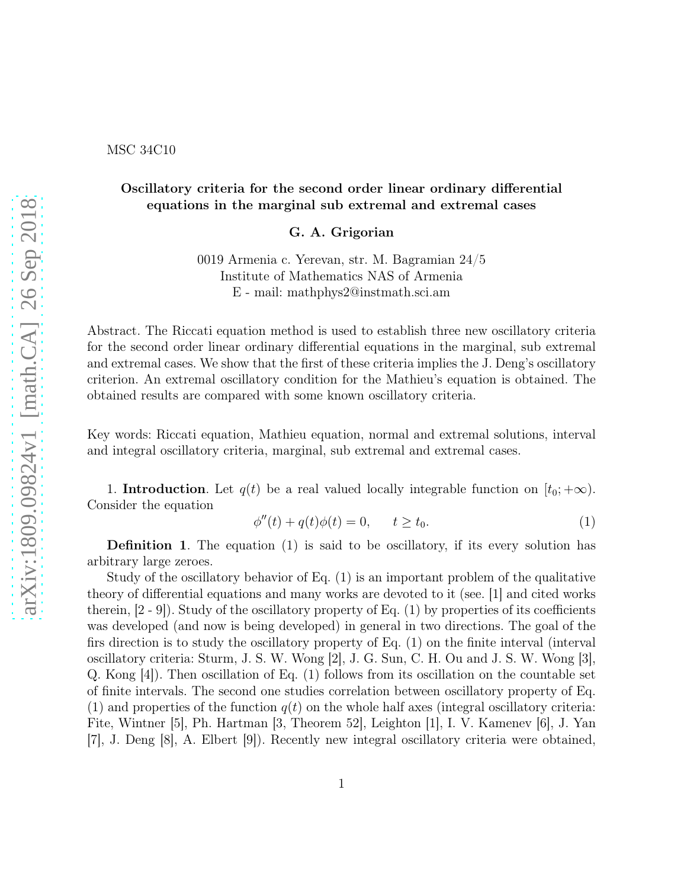MSC 34C10

## Oscillatory criteria for the second order linear ordinary differential equations in the marginal sub extremal and extremal cases

G. A. Grigorian

0019 Armenia c. Yerevan, str. M. Bagramian 24/5 Institute of Mathematics NAS of Armenia E - mail: mathphys2@instmath.sci.am

Abstract. The Riccati equation method is used to establish three new oscillatory criteria for the second order linear ordinary differential equations in the marginal, sub extremal and extremal cases. We show that the first of these criteria implies the J. Deng's oscillatory criterion. An extremal oscillatory condition for the Mathieu's equation is obtained. The obtained results are compared with some known oscillatory criteria.

Key words: Riccati equation, Mathieu equation, normal and extremal solutions, interval and integral oscillatory criteria, marginal, sub extremal and extremal cases.

1. Introduction. Let  $q(t)$  be a real valued locally integrable function on  $[t_0; +\infty)$ . Consider the equation

$$
\phi''(t) + q(t)\phi(t) = 0, \qquad t \ge t_0. \tag{1}
$$

Definition 1. The equation (1) is said to be oscillatory, if its every solution has arbitrary large zeroes.

Study of the oscillatory behavior of Eq. (1) is an important problem of the qualitative theory of differential equations and many works are devoted to it (see. [1] and cited works therein,  $[2 - 9]$ . Study of the oscillatory property of Eq.  $(1)$  by properties of its coefficients was developed (and now is being developed) in general in two directions. The goal of the firs direction is to study the oscillatory property of Eq. (1) on the finite interval (interval oscillatory criteria: Sturm, J. S. W. Wong [2], J. G. Sun, C. H. Ou and J. S. W. Wong [3], Q. Kong [4]). Then oscillation of Eq. (1) follows from its oscillation on the countable set of finite intervals. The second one studies correlation between oscillatory property of Eq. (1) and properties of the function  $q(t)$  on the whole half axes (integral oscillatory criteria: Fite, Wintner [5], Ph. Hartman [3, Theorem 52], Leighton [1], I. V. Kamenev [6], J. Yan [7], J. Deng [8], A. Elbert [9]). Recently new integral oscillatory criteria were obtained,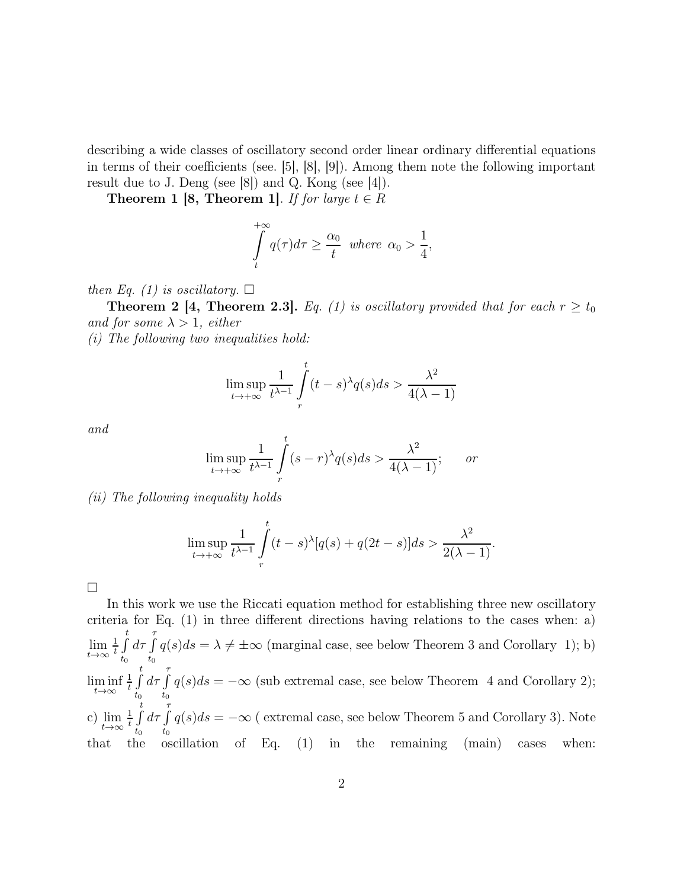describing a wide classes of oscillatory second order linear ordinary differential equations in terms of their coefficients (see. [5], [8], [9]). Among them note the following important result due to J. Deng (see [8]) and Q. Kong (see [4]).

**Theorem 1 [8, Theorem 1].** *If for large*  $t \in R$ 

$$
\int_{t}^{+\infty} q(\tau)d\tau \ge \frac{\alpha_0}{t} \text{ where } \alpha_0 > \frac{1}{4},
$$

*then Eq. (1) is oscillatory.*  $\square$ 

**Theorem 2 [4, Theorem 2.3].** *Eq.* (1) is oscillatory provided that for each  $r \ge t_0$ *and for some*  $\lambda > 1$ *, either* 

*(i) The following two inequalities hold:*

$$
\limsup_{t \to +\infty} \frac{1}{t^{\lambda-1}} \int\limits_r^t (t-s)^{\lambda} q(s) ds > \frac{\lambda^2}{4(\lambda-1)}
$$

*and*

$$
\limsup_{t \to +\infty} \frac{1}{t^{\lambda-1}} \int_{r}^{t} (s-r)^{\lambda} q(s) ds > \frac{\lambda^2}{4(\lambda-1)}; \quad or
$$

*(ii) The following inequality holds*

$$
\limsup_{t \to +\infty} \frac{1}{t^{\lambda-1}} \int\limits_r^t (t-s)^\lambda [q(s) + q(2t-s)] ds > \frac{\lambda^2}{2(\lambda-1)}.
$$

 $\Box$ 

In this work we use the Riccati equation method for establishing three new oscillatory criteria for Eq. (1) in three different directions having relations to the cases when: a) lim  $t\rightarrow\infty$ 1  $\frac{1}{t}$   $\int_0^t$  $t_0$  $d\tau \int$  $\int_{t_0} q(s)ds = \lambda \neq \pm \infty$  (marginal case, see below Theorem 3 and Corollary 1); b) lim inf  $t\rightarrow\infty$ 1  $\frac{1}{t}$   $\int_0^t$  $t_0$  $d\tau \int$  $\int_{t_0} q(s)ds = -\infty$  (sub extremal case, see below Theorem 4 and Corollary 2); c) lim  $t\rightarrow\infty$ 1  $\frac{1}{t}$   $\int_0^t$  $t_0$  $d\tau \int$  $\int_{t_0} q(s)ds = -\infty$  (extremal case, see below Theorem 5 and Corollary 3). Note that the oscillation of Eq. (1) in the remaining (main) cases when: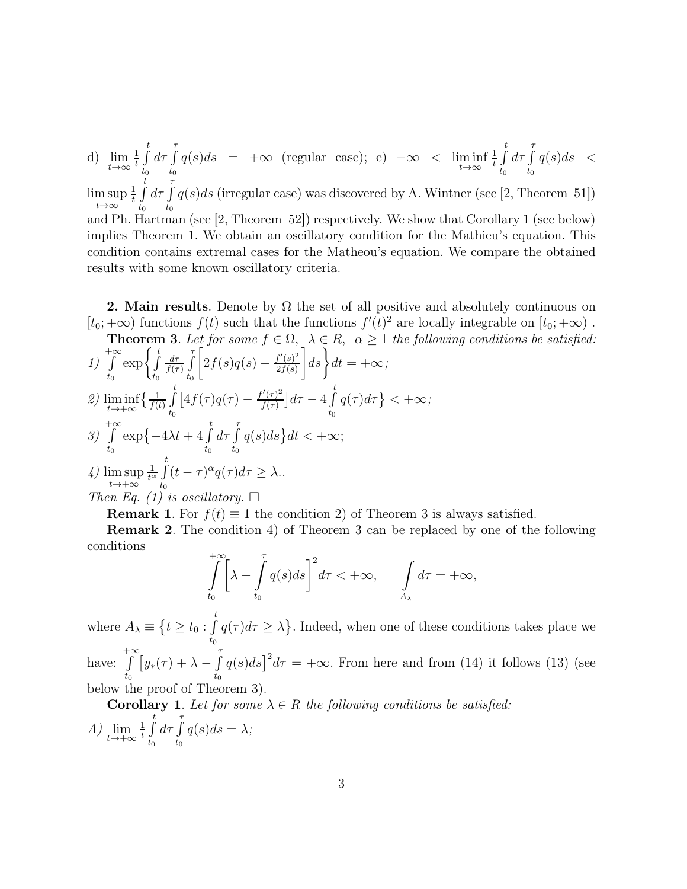d) lim  $t\rightarrow\infty$ 1  $\frac{1}{t}$   $\int_0^t$  $t_0$  $d\tau \int$  $\int_{t_0}^{\infty} q(s)ds = +\infty$  (regular case); e)  $-\infty < \liminf_{t \to \infty}$ 1  $\frac{1}{t}$   $\int_0^t$  $t_{0}$  $d\tau \int$  $t_0$  $q(s)ds <$ lim sup  $t\rightarrow\infty$ 1  $\frac{1}{t}$   $\int_0^t$  $t_0$  $d\tau \int$  $t_0$  $q(s)ds$  (irregular case) was discovered by A. Wintner (see [2, Theorem 51]) and Ph. Hartman (see [2, Theorem 52]) respectively. We show that Corollary 1 (see below) implies Theorem 1. We obtain an oscillatory condition for the Mathieu's equation. This condition contains extremal cases for the Matheou's equation. We compare the obtained results with some known oscillatory criteria.

**2. Main results**. Denote by  $\Omega$  the set of all positive and absolutely continuous on  $[t_0; +\infty)$  functions  $f(t)$  such that the functions  $f'(t)^2$  are locally integrable on  $[t_0; +\infty)$ .

**Theorem 3.** Let for some 
$$
f \in \Omega
$$
,  $\lambda \in R$ ,  $\alpha \ge 1$  the following conditions be satisfied:  
 $\begin{bmatrix} \frac{t}{\alpha} & \frac{t}{\alpha} \\ 0 & \frac{t}{\alpha} \end{bmatrix}$ 

1) 
$$
\int_{t_0}^{+\infty} \exp\left\{\int_{t_0}^t \frac{d\tau}{f(\tau)} \int_{t_0}^{\tau} \left[2f(s)q(s) - \frac{f'(s)^2}{2f(s)}\right] ds\right\} dt = +\infty;
$$
  
\n2) 
$$
\liminf_{t \to +\infty} \left\{\frac{1}{f(t)} \int_{t_0}^t \left[4f(\tau)q(\tau) - \frac{f'(\tau)^2}{f(\tau)}\right] d\tau - 4 \int_{t_0}^t q(\tau) d\tau\right\} < +\infty;
$$
  
\n3) 
$$
\int_{t_0}^{+\infty} \exp\left\{-4\lambda t + 4 \int_{t_0}^t d\tau \int_{t_0}^{\tau} q(s) ds\right\} dt < +\infty;
$$
  
\n4) 
$$
\limsup_{t \to +\infty} \frac{1}{t_0} \int_{t_0}^t (t - \tau)^{\alpha} q(\tau) d\tau \geq \lambda.
$$
  
\nThen Eq. (1) is oscillatory.  $\square$ 

**Remark 1.** For  $f(t) \equiv 1$  the condition 2) of Theorem 3 is always satisfied.

Remark 2. The condition 4) of Theorem 3 can be replaced by one of the following conditions

$$
\int_{t_0}^{+\infty} \left[ \lambda - \int_{t_0}^{\tau} q(s) ds \right]^2 d\tau < +\infty, \qquad \int_{A_{\lambda}} d\tau = +\infty,
$$

where  $A_{\lambda} \equiv \{t \geq t_0 : \int_0^t$  $\int_{t_0}^{\tilde{t}} q(\tau) d\tau \geq \lambda$ . Indeed, when one of these conditions takes place we

have:  $+∞$  $t_0$  $\int$ [y<sub>\*</sub>( $\tau$ ) +  $\lambda - \int$ ]  $t_0$  $q(s)ds$ <sup>2</sup> $d\tau$  = + $\infty$ . From here and from (14) it follows (13) (see below the proof of Theorem 3).

**Corollary 1.** Let for some  $\lambda \in R$  the following conditions be satisfied:

$$
A) \lim_{t \to +\infty} \frac{1}{t} \int_{t_0}^t d\tau \int_{t_0}^{\tau} q(s) ds = \lambda;
$$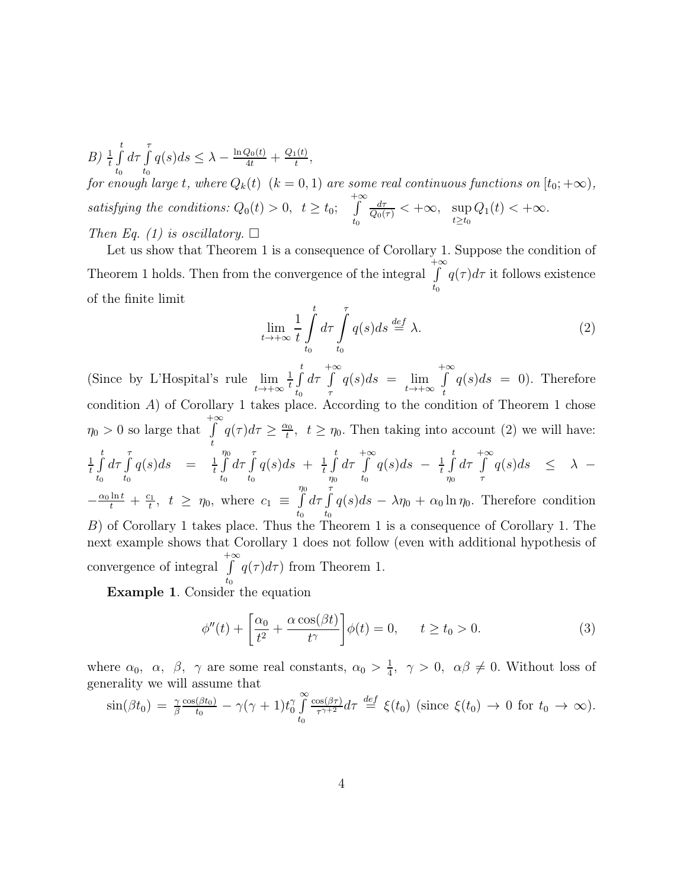B)  $\frac{1}{t} \int_{t}^{t} d\tau \int_{t}^{\tau} q(s)ds \leq \lambda - \frac{\ln Q_0(t)}{4t} + \frac{Q_1(t)}{t}$  $t_0$   $t_0$  $\frac{t(t)}{t},$ *for enough large t*, where  $Q_k(t)$   $(k = 0, 1)$  are some real continuous functions on  $[t_0; +\infty)$ , *satisfying the conditions:*  $Q_0(t) > 0$ ,  $t \ge t_0$ ;  $+∞$  $t_0$  $\frac{d\tau}{Q_0(\tau)} < +\infty$ ,  $\sup_{t\geq t_0} Q_1(t) < +\infty$ . *Then Eq. (1) is oscillatory.*  $\Box$ 

Let us show that Theorem 1 is a consequence of Corollary 1. Suppose the condition of Theorem 1 holds. Then from the convergence of the integral  $+∞$  $t_0$  $q(\tau)d\tau$  it follows existence of the finite limit

$$
\lim_{t \to +\infty} \frac{1}{t} \int_{t_0}^t d\tau \int_{t_0}^{\tau} q(s) ds \stackrel{def}{=} \lambda.
$$
 (2)

(Since by L'Hospital's rule lim  $t\rightarrow+\infty$ 1  $\frac{1}{t}$   $\int_0^t$  $t_0$  $d\tau$  $+∞$ τ  $q(s)ds = \lim$  $t\rightarrow+\infty$  $+∞$ t  $q(s)ds = 0$ . Therefore condition A) of Corollary 1 takes place. According to the condition of Theorem 1 chose  $\eta_0 > 0$  so large that  $\int_{t}^{+\infty} q(\tau) d\tau \geq \frac{\alpha_0}{t}$ t  $t_0^{\alpha}$ ,  $t \geq \eta_0$ . Then taking into account (2) we will have: 1  $\frac{1}{t}$   $\int_0^t$  $t_{0}$  $d\tau \int$  $t_{0}$  $q(s)ds = \frac{1}{t}$  $\frac{1}{t}$   $\int_0^{\eta_0}$  $t_0$  $d\tau \int$  $t_0$  $q(s)ds + \frac{1}{t}$  $\frac{1}{t}$   $\int_0^t$  $\eta_0$  $d\tau$  $+∞$  $\int\limits_{t_{0}}^{\ } q(s)ds - \frac{1}{t}$  $\frac{1}{t}$   $\int_0^t$  $\eta_0$  $d\tau$  $+∞$  $\int_{\tau} q(s)ds \leq \lambda -\frac{\alpha_0 \ln t}{t} + \frac{c_1}{t}$  $t^{\frac{c_1}{t}}, t \geq \eta_0$ , where  $c_1 \equiv \int\limits_{t}^{\eta_0}$  $t_0$  $d\tau \int$  $\int_{t_0}^{\infty} q(s)ds - \lambda \eta_0 + \alpha_0 \ln \eta_0$ . Therefore condition B) of Corollary 1 takes place. Thus the Theorem 1 is a consequence of Corollary 1. The next example shows that Corollary 1 does not follow (even with additional hypothesis of convergence of integral  $+∞$  $t_{0}$  $q(\tau) d\tau$ ) from Theorem 1.

Example 1. Consider the equation

$$
\phi''(t) + \left[\frac{\alpha_0}{t^2} + \frac{\alpha \cos(\beta t)}{t^{\gamma}}\right] \phi(t) = 0, \qquad t \ge t_0 > 0.
$$
 (3)

where  $\alpha_0$ ,  $\alpha$ ,  $\beta$ ,  $\gamma$  are some real constants,  $\alpha_0 > \frac{1}{4}$  $\frac{1}{4}$ ,  $\gamma > 0$ ,  $\alpha\beta \neq 0$ . Without loss of generality we will assume that

$$
\sin(\beta t_0) = \frac{\gamma}{\beta} \frac{\cos(\beta t_0)}{t_0} - \gamma(\gamma + 1)t_0^{\gamma} \int_{t_0}^{\infty} \frac{\cos(\beta \tau)}{\tau^{\gamma+2}} d\tau \stackrel{def}{=} \xi(t_0) \text{ (since } \xi(t_0) \to 0 \text{ for } t_0 \to \infty\text{)}.
$$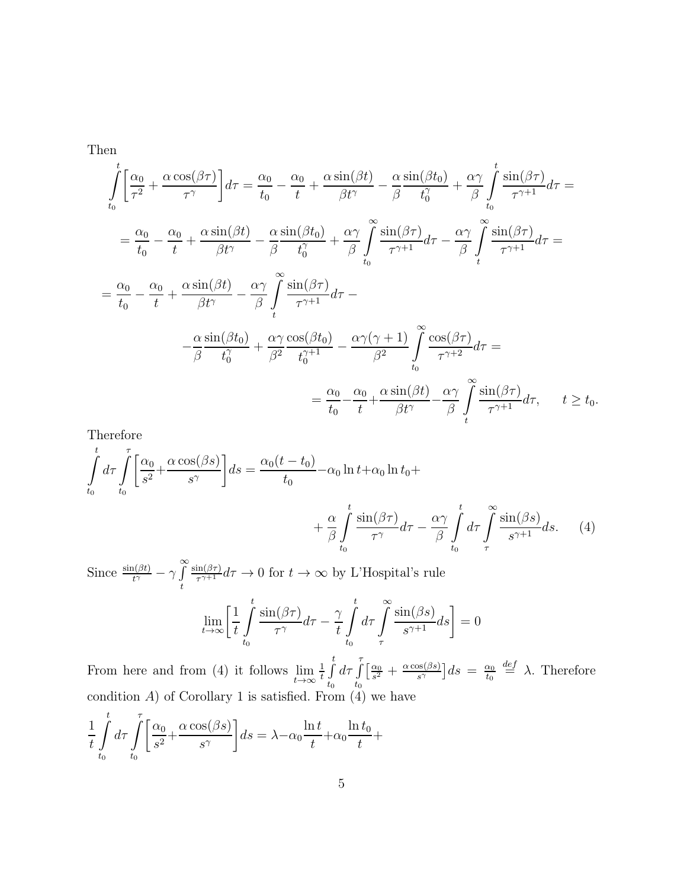Then

$$
\int_{t_0}^{t} \left[ \frac{\alpha_0}{\tau^2} + \frac{\alpha \cos(\beta \tau)}{\tau^{\gamma}} \right] d\tau = \frac{\alpha_0}{t_0} - \frac{\alpha_0}{t} + \frac{\alpha \sin(\beta t)}{\beta t^{\gamma}} - \frac{\alpha}{\beta} \frac{\sin(\beta t_0)}{t_0^{\gamma}} + \frac{\alpha \gamma}{\beta} \int_{t_0}^{t} \frac{\sin(\beta \tau)}{\tau^{\gamma+1}} d\tau =
$$
\n
$$
= \frac{\alpha_0}{t_0} - \frac{\alpha_0}{t} + \frac{\alpha \sin(\beta t)}{\beta t^{\gamma}} - \frac{\alpha}{\beta} \frac{\sin(\beta t_0)}{t_0^{\gamma}} + \frac{\alpha \gamma}{\beta} \int_{t_0}^{\infty} \frac{\sin(\beta \tau)}{\tau^{\gamma+1}} d\tau - \frac{\alpha \gamma}{\beta} \int_{t}^{\infty} \frac{\sin(\beta \tau)}{\tau^{\gamma+1}} d\tau =
$$
\n
$$
= \frac{\alpha_0}{t_0} - \frac{\alpha_0}{t} + \frac{\alpha \sin(\beta t)}{\beta t^{\gamma}} - \frac{\alpha \gamma}{\beta} \int_{t}^{\infty} \frac{\sin(\beta \tau)}{\tau^{\gamma+1}} d\tau -
$$
\n
$$
- \frac{\alpha \sin(\beta t_0)}{\beta t_0^{\gamma}} + \frac{\alpha \gamma}{\beta^2} \frac{\cos(\beta t_0)}{t_0^{\gamma+1}} - \frac{\alpha \gamma(\gamma+1)}{\beta^2} \int_{t_0}^{\infty} \frac{\cos(\beta \tau)}{\tau^{\gamma+2}} d\tau =
$$
\n
$$
= \frac{\alpha_0}{t_0} - \frac{\alpha_0}{t} + \frac{\alpha \sin(\beta t)}{\beta t^{\gamma}} - \frac{\alpha \gamma}{\beta} \int_{t}^{\infty} \frac{\sin(\beta \tau)}{\tau^{\gamma+1}} d\tau, \quad t \ge t_0.
$$

Therefore

$$
\int_{t_0}^{t} d\tau \int_{t_0}^{\tau} \left[ \frac{\alpha_0}{s^2} + \frac{\alpha \cos(\beta s)}{s^{\gamma}} \right] ds = \frac{\alpha_0 (t - t_0)}{t_0} - \alpha_0 \ln t + \alpha_0 \ln t_0 + \frac{\alpha}{\beta} \int_{t_0}^{t} \frac{\sin(\beta \tau)}{\tau^{\gamma}} d\tau - \frac{\alpha \gamma}{\beta} \int_{t_0}^{t} d\tau \int_{\tau}^{\infty} \frac{\sin(\beta s)}{s^{\gamma+1}} ds. \tag{4}
$$

Since  $\frac{\sin(\beta t)}{t^{\gamma}} - \gamma \int$ t  $\sin(\beta\tau)$  $\frac{\text{Im}(\beta\tau)}{\tau^{\gamma+1}}d\tau \to 0$  for  $t \to \infty$  by L'Hospital's rule

$$
\lim_{t \to \infty} \left[ \frac{1}{t} \int_{t_0}^t \frac{\sin(\beta \tau)}{\tau^{\gamma}} d\tau - \frac{\gamma}{t} \int_{t_0}^t d\tau \int_{\tau}^{\infty} \frac{\sin(\beta s)}{s^{\gamma+1}} ds \right] = 0
$$

From here and from (4) it follows lim  $t\rightarrow\infty$ 1  $\frac{1}{t}$   $\int_0^t$  $t_0$  $d\tau \int$  $t_0$  $\lceil \frac{\alpha_0}{\alpha} \rceil$  $\frac{\alpha_0}{s^2}+\frac{\alpha \cos(\beta s)}{s^{\gamma}}$  $\frac{\partial s(\beta s)}{\partial s^{\gamma}}\big]ds = \frac{\alpha_0}{t_0}$  $t_{0}$  $\stackrel{def}{=} \lambda$ . Therefore condition  $A$ ) of Corollary 1 is satisfied. From  $(4)$  we have  $\overline{t}$ 

$$
\frac{1}{t} \int_{t_0}^t d\tau \int_{t_0}^{\tau} \left[ \frac{\alpha_0}{s^2} + \frac{\alpha \cos(\beta s)}{s^{\gamma}} \right] ds = \lambda - \alpha_0 \frac{\ln t}{t} + \alpha_0 \frac{\ln t_0}{t} +
$$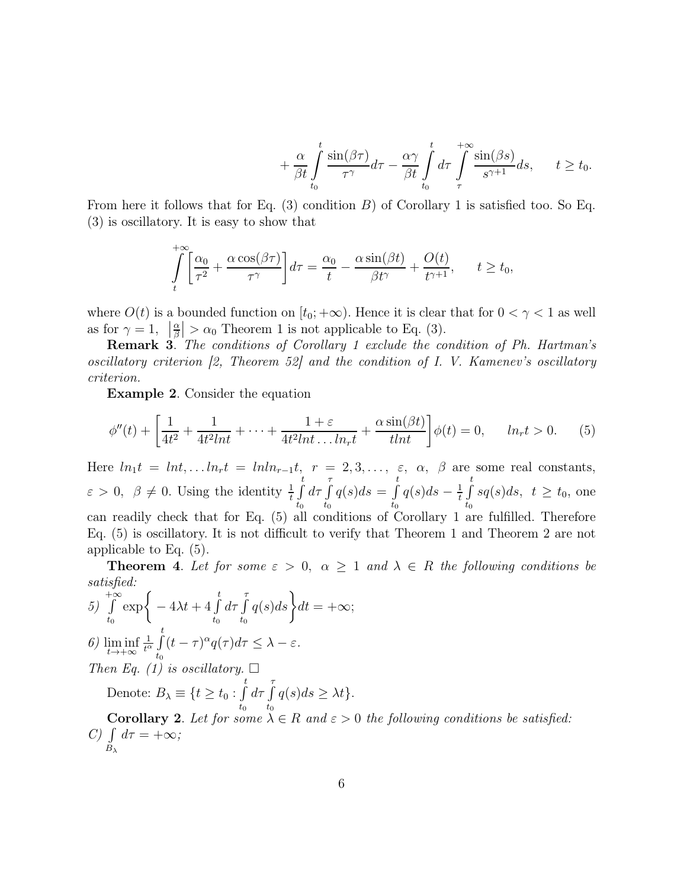$$
+\frac{\alpha}{\beta t} \int_{t_0}^t \frac{\sin(\beta \tau)}{\tau^{\gamma}} d\tau - \frac{\alpha \gamma}{\beta t} \int_{t_0}^t d\tau \int_{\tau}^{+\infty} \frac{\sin(\beta s)}{s^{\gamma+1}} ds, \qquad t \ge t_0.
$$

From here it follows that for Eq.  $(3)$  condition B) of Corollary 1 is satisfied too. So Eq. (3) is oscillatory. It is easy to show that

$$
\int_{t}^{+\infty} \left[ \frac{\alpha_0}{\tau^2} + \frac{\alpha \cos(\beta \tau)}{\tau^{\gamma}} \right] d\tau = \frac{\alpha_0}{t} - \frac{\alpha \sin(\beta t)}{\beta t^{\gamma}} + \frac{O(t)}{t^{\gamma+1}}, \quad t \ge t_0,
$$

where  $O(t)$  is a bounded function on  $[t_0; +\infty)$ . Hence it is clear that for  $0 < \gamma < 1$  as well as for  $\gamma = 1$ ,  $\left| \frac{\alpha}{\beta} \right| > \alpha_0$  Theorem 1 is not applicable to Eq. (3).

Remark 3. *The conditions of Corollary 1 exclude the condition of Ph. Hartman's oscillatory criterion [2, Theorem 52] and the condition of I. V. Kamenev's oscillatory criterion.*

Example 2. Consider the equation

$$
\phi''(t) + \left[\frac{1}{4t^2} + \frac{1}{4t^2Int} + \dots + \frac{1+\varepsilon}{4t^2Int\dots ln_t} + \frac{\alpha \sin(\beta t)}{tInt}\right]\phi(t) = 0, \quad ln_t t > 0. \tag{5}
$$

Here  $ln_1t = lnt, ... ln_rt = lnln_{r-1}t, r = 2, 3, ..., \varepsilon, \alpha, \beta$  are some real constants,  $\varepsilon > 0, \ \beta \neq 0.$  Using the identity  $\frac{1}{t} \int_0^t$  $t_0$  $d\tau \int$  $t_0$  $q(s)ds = \int_0^t$  $\int\limits_{t_0}^{\infty} q(s) ds - \frac{1}{t}$  $\frac{1}{t}$   $\int_0^t$  $\int_{t_0} s q(s) ds, t \geq t_0$ , one can readily check that for Eq. (5) all conditions of Corollary 1 are fulfilled. Therefore Eq. (5) is oscillatory. It is not difficult to verify that Theorem 1 and Theorem 2 are not applicable to Eq. (5).

**Theorem 4.** Let for some  $\varepsilon > 0$ ,  $\alpha \geq 1$  and  $\lambda \in R$  the following conditions be *satisfied:*

5) 
$$
\int_{t_0}^{+\infty} \exp\left\{-4\lambda t + 4\int_{t_0}^{t} d\tau \int_{t_0}^{\tau} q(s)ds\right\} dt = +\infty;
$$
  
\n6) 
$$
\liminf_{t \to +\infty} \frac{1}{t^{\alpha}} \int_{t_0}^{t} (t - \tau)^{\alpha} q(\tau) d\tau \leq \lambda - \varepsilon.
$$
  
\nThen Eq. (1) is oscillatory.  $\square$   
\nDenote:  $B_{\lambda} \equiv \{t \geq t_0 : \int_{t_0}^{t} d\tau \int_{t_0}^{\tau} q(s) ds \geq \lambda t\}.$   
\nCorollary 2. Let for some  $\lambda \in R$  and  $\varepsilon > 0$  the following conditions be satisfied:  
\nC) 
$$
\int_{B_{\lambda}} d\tau = +\infty;
$$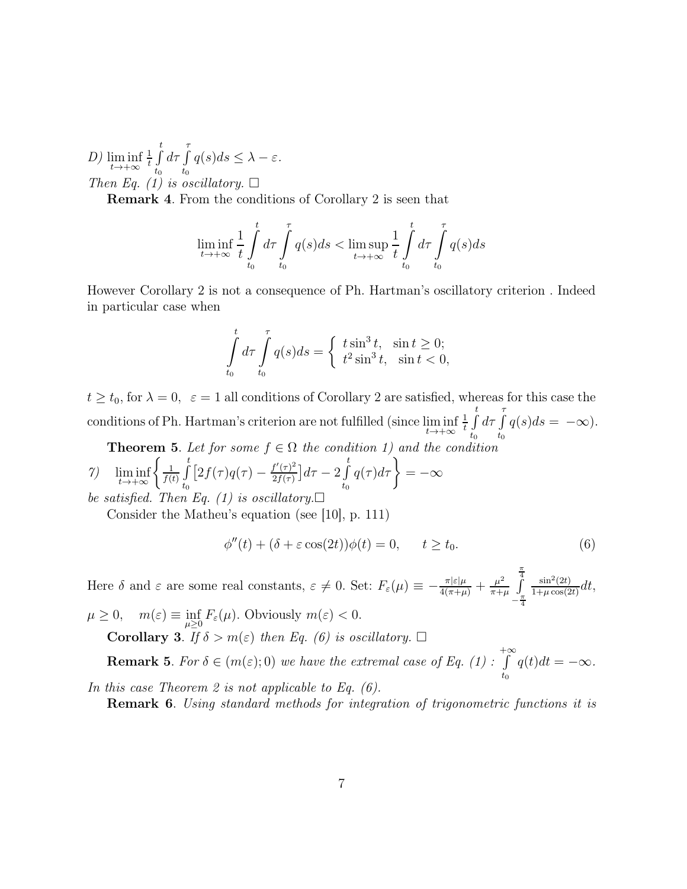*D)* lim inf  $t\rightarrow+\infty$ 1  $\frac{1}{t}$   $\int_0^t$  $t_0$  $d\tau \int$  $\int_{t_0}^{\infty} q(s)ds \leq \lambda - \varepsilon.$ *Then Eq. (1) is oscillatory.*  $\Box$ 

Remark 4. From the conditions of Corollary 2 is seen that

$$
\liminf_{t \to +\infty} \frac{1}{t} \int_{t_0}^t d\tau \int_{t_0}^{\tau} q(s)ds < \limsup_{t \to +\infty} \frac{1}{t} \int_{t_0}^t d\tau \int_{t_0}^{\tau} q(s)ds
$$

However Corollary 2 is not a consequence of Ph. Hartman's oscillatory criterion . Indeed in particular case when

$$
\int_{t_0}^t d\tau \int_{t_0}^{\tau} q(s)ds = \begin{cases} t \sin^3 t, & \sin t \ge 0; \\ t^2 \sin^3 t, & \sin t < 0, \end{cases}
$$

 $t \ge t_0$ , for  $\lambda = 0$ ,  $\varepsilon = 1$  all conditions of Corollary 2 are satisfied, whereas for this case the conditions of Ph. Hartman's criterion are not fulfilled (since lim inf  $t\rightarrow+\infty$ 1  $\frac{1}{t}$   $\int_0^t$  $t_0$  $d\tau \int$  $\int_{t_0} q(s)ds = -\infty$ .

**Theorem 5.** Let for some  $f \in \Omega$  the condition 1) and the condition

7) 
$$
\liminf_{t \to +\infty} \left\{ \frac{1}{f(t)} \int_{t_0}^t \left[ 2f(\tau)q(\tau) - \frac{f'(\tau)^2}{2f(\tau)} \right] d\tau - 2 \int_{t_0}^t q(\tau) d\tau \right\} = -\infty
$$
  
be satisfied. Then Eq. (1) is oscillatory.

Consider the Matheu's equation (see [10], p. 111)

$$
\phi''(t) + (\delta + \varepsilon \cos(2t))\phi(t) = 0, \qquad t \ge t_0.
$$
\n(6)

Here  $\delta$  and  $\varepsilon$  are some real constants,  $\varepsilon \neq 0$ . Set:  $F_{\varepsilon}(\mu) \equiv -\frac{\pi |\varepsilon|\mu}{4(\pi + \mu)} + \frac{\mu^2}{\pi + \mu^2}$  $\pi+\mu$  $\frac{\pi}{4}$  $-\frac{\pi}{4}$ 4  $\sin^2(2t)$  $\frac{\sin^2(2t)}{1+\mu\cos(2t)}dt,$  $\mu \geq 0$ ,  $m(\varepsilon) \equiv \inf_{\mu \geq 0}$  $F_{\varepsilon}(\mu)$ . Obviously  $m(\varepsilon) < 0$ . **Corollary 3.**  $\overline{If} \delta > m(\varepsilon)$  *then Eq.* (6) *is oscillatory.*  $\square$  $+∞$ 

**Remark 5.** *For*  $\delta \in (m(\varepsilon); 0)$  *we have the extremal case of Eq.* (1) :  $\int_{t_0}^{\infty} q(t)dt = -\infty.$ *In this case Theorem 2 is not applicable to Eq. (6).*

Remark 6. *Using standard methods for integration of trigonometric functions it is*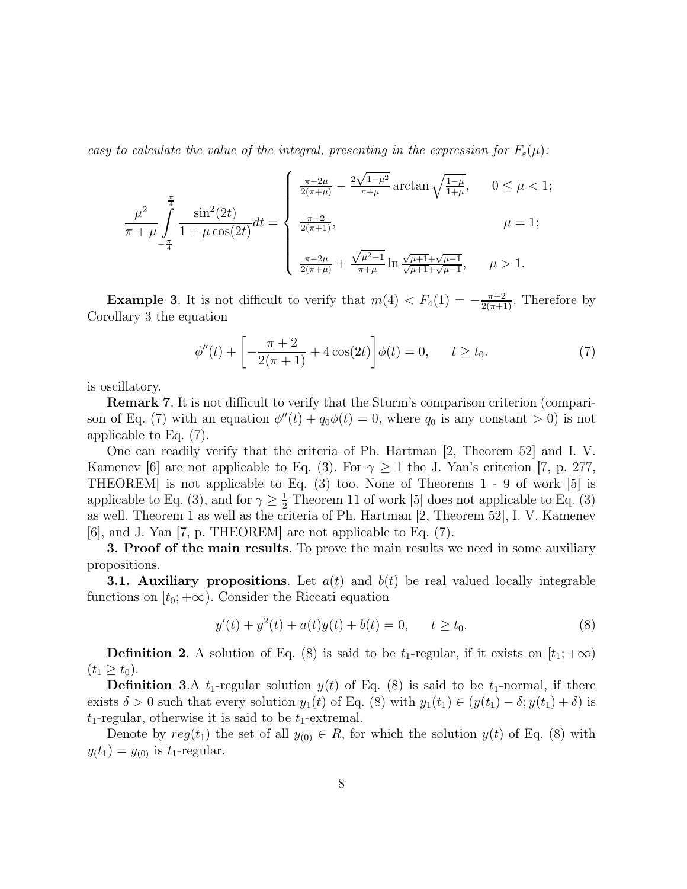*easy to calculate the value of the integral, presenting in the expression for*  $F_{\varepsilon}(\mu)$ :

$$
\frac{\mu^2}{\pi + \mu} \int_{-\frac{\pi}{4}}^{\frac{\pi}{4}} \frac{\sin^2(2t)}{1 + \mu \cos(2t)} dt = \begin{cases} \frac{\pi - 2\mu}{2(\pi + \mu)} - \frac{2\sqrt{1 - \mu^2}}{\pi + \mu} \arctan\sqrt{\frac{1 - \mu}{1 + \mu}}, & 0 \le \mu < 1; \\ \frac{\pi - 2}{2(\pi + 1)}, & \mu = 1; \\ \frac{\pi - 2\mu}{2(\pi + \mu)} + \frac{\sqrt{\mu^2 - 1}}{\pi + \mu} \ln \frac{\sqrt{\mu + 1} + \sqrt{\mu - 1}}{\sqrt{\mu + 1} + \sqrt{\mu - 1}}, & \mu > 1. \end{cases}
$$

**Example 3.** It is not difficult to verify that  $m(4) < F_4(1) = -\frac{\pi+2}{2(\pi+1)}$ . Therefore by Corollary 3 the equation

$$
\phi''(t) + \left[ -\frac{\pi + 2}{2(\pi + 1)} + 4\cos(2t) \right] \phi(t) = 0, \qquad t \ge t_0.
$$
 (7)

is oscillatory.

Remark 7. It is not difficult to verify that the Sturm's comparison criterion (comparison of Eq. (7) with an equation  $\phi''(t) + q_0\phi(t) = 0$ , where  $q_0$  is any constant  $> 0$ ) is not applicable to Eq. (7).

One can readily verify that the criteria of Ph. Hartman [2, Theorem 52] and I. V. Kamenev [6] are not applicable to Eq. (3). For  $\gamma \geq 1$  the J. Yan's criterion [7, p. 277, THEOREM] is not applicable to Eq. (3) too. None of Theorems 1 - 9 of work [5] is applicable to Eq. (3), and for  $\gamma \geq \frac{1}{2}$  Theorem 11 of work [5] does not applicable to Eq. (3) as well. Theorem 1 as well as the criteria of Ph. Hartman [2, Theorem 52], I. V. Kamenev [6], and J. Yan [7, p. THEOREM] are not applicable to Eq. (7).

**3. Proof of the main results**. To prove the main results we need in some auxiliary propositions.

**3.1. Auxiliary propositions**. Let  $a(t)$  and  $b(t)$  be real valued locally integrable functions on  $[t_0; +\infty)$ . Consider the Riccati equation

$$
y'(t) + y2(t) + a(t)y(t) + b(t) = 0, \t t \ge t_0.
$$
\t(8)

**Definition 2.** A solution of Eq. (8) is said to be  $t_1$ -regular, if it exists on  $[t_1; +\infty)$  $(t_1 \ge t_0).$ 

**Definition 3.**A  $t_1$ -regular solution  $y(t)$  of Eq. (8) is said to be  $t_1$ -normal, if there exists  $\delta > 0$  such that every solution  $y_1(t)$  of Eq. (8) with  $y_1(t_1) \in (y(t_1) - \delta; y(t_1) + \delta)$  is  $t_1$ -regular, otherwise it is said to be  $t_1$ -extremal.

Denote by  $reg(t_1)$  the set of all  $y_{(0)} \in R$ , for which the solution  $y(t)$  of Eq. (8) with  $y(t_1) = y_{(0)}$  is  $t_1$ -regular.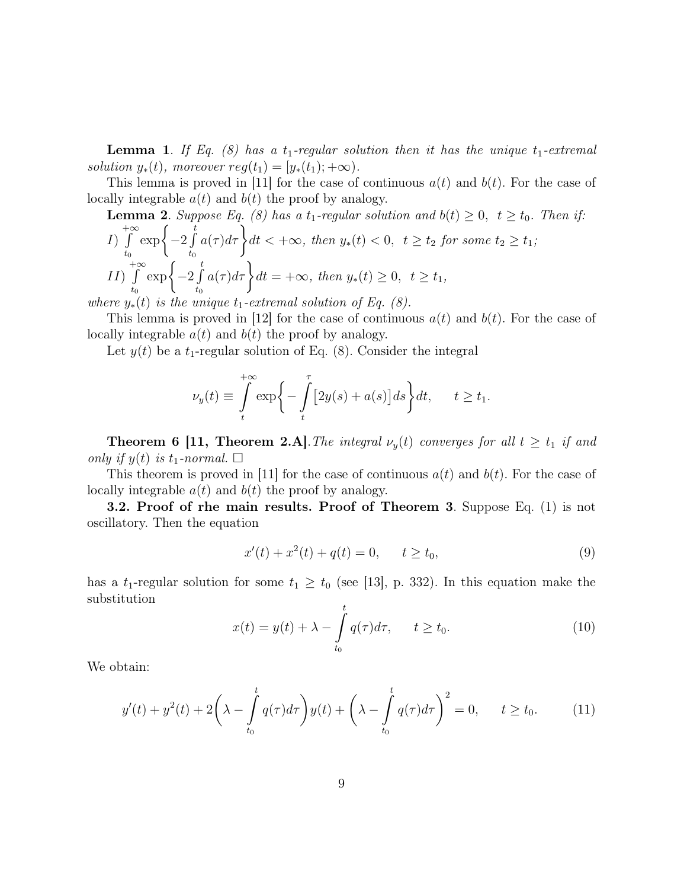**Lemma 1.** If Eq. (8) has a  $t_1$ -regular solution then it has the unique  $t_1$ -extremal *solution*  $y_*(t)$ *, moreover*  $reg(t_1) = [y_*(t_1); +\infty)$ *.* 

This lemma is proved in [11] for the case of continuous  $a(t)$  and  $b(t)$ . For the case of locally integrable  $a(t)$  and  $b(t)$  the proof by analogy.

**Lemma 2.** Suppose Eq. (8) has a 
$$
t_1
$$
-regular solution and  $b(t) \ge 0$ ,  $t \ge t_0$ . Then if:  
\n
$$
I) \int_{t_0}^{+\infty} \exp\left\{-2 \int_{t_0}^{t} a(\tau) d\tau\right\} dt < +\infty, \text{ then } y_*(t) < 0, \quad t \ge t_2 \text{ for some } t_2 \ge t_1;
$$
\n
$$
II) \int_{t_0}^{+\infty} \exp\left\{-2 \int_{t_0}^{t} a(\tau) d\tau\right\} dt = +\infty, \text{ then } y_*(t) \ge 0, \quad t \ge t_1,
$$

*where*  $y_*(t)$  *is the unique*  $t_1$ -extremal solution of Eq. (8).

This lemma is proved in [12] for the case of continuous  $a(t)$  and  $b(t)$ . For the case of locally integrable  $a(t)$  and  $b(t)$  the proof by analogy.

Let  $y(t)$  be a  $t_1$ -regular solution of Eq. (8). Consider the integral

$$
\nu_y(t) \equiv \int_t^{+\infty} \exp\biggl\{-\int_t^{\tau} \bigl[2y(s) + a(s)\bigr]ds\biggr\}dt, \qquad t \ge t_1.
$$

**Theorem 6 [11, Theorem 2.A]**. The integral  $\nu_y(t)$  converges for all  $t \geq t_1$  if and *only if*  $y(t)$  *is*  $t_1$ *-normal.*  $\Box$ 

This theorem is proved in [11] for the case of continuous  $a(t)$  and  $b(t)$ . For the case of locally integrable  $a(t)$  and  $b(t)$  the proof by analogy.

3.2. Proof of rhe main results. Proof of Theorem 3. Suppose Eq. (1) is not oscillatory. Then the equation

$$
x'(t) + x2(t) + q(t) = 0, \t t \ge t_0,
$$
\t(9)

has a  $t_1$ -regular solution for some  $t_1 \geq t_0$  (see [13], p. 332). In this equation make the substitution

$$
x(t) = y(t) + \lambda - \int_{t_0}^t q(\tau) d\tau, \qquad t \ge t_0.
$$
 (10)

We obtain:

$$
y'(t) + y^{2}(t) + 2\left(\lambda - \int_{t_{0}}^{t} q(\tau)d\tau\right)y(t) + \left(\lambda - \int_{t_{0}}^{t} q(\tau)d\tau\right)^{2} = 0, \quad t \ge t_{0}.
$$
 (11)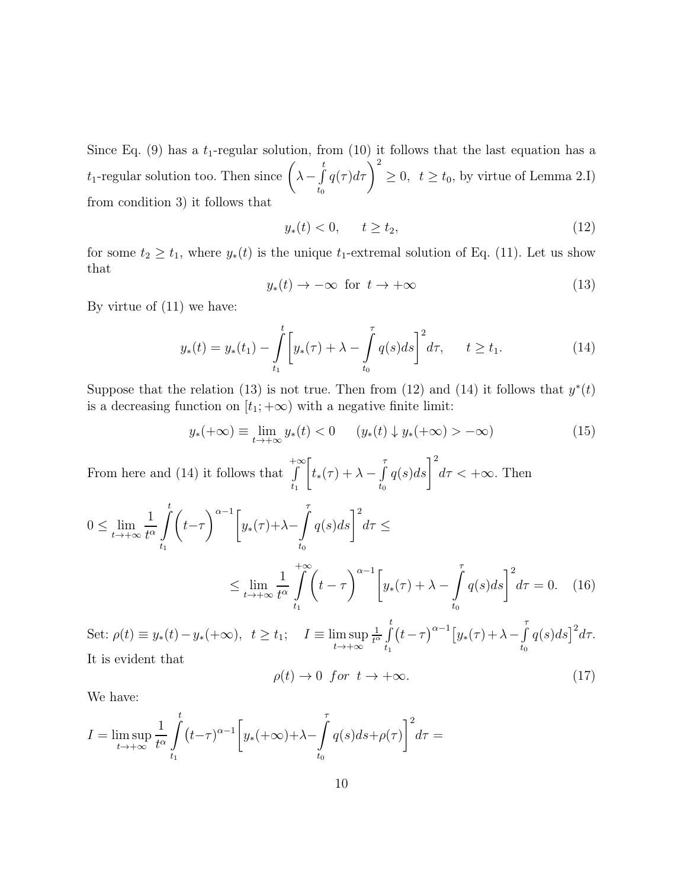Since Eq. (9) has a  $t_1$ -regular solution, from (10) it follows that the last equation has a  $t_1$ -regular solution too. Then since  $\left(\lambda-\int\limits_0^{t_1}$  $t_0$  $q(\tau)d\tau\bigg)^2\geq 0, \ \ t\geq t_0,$  by virtue of Lemma 2.I) from condition 3) it follows that

$$
y_*(t) < 0, \qquad t \ge t_2,\tag{12}
$$

for some  $t_2 \geq t_1$ , where  $y_*(t)$  is the unique  $t_1$ -extremal solution of Eq. (11). Let us show that

$$
y_*(t) \to -\infty \quad \text{for} \quad t \to +\infty \tag{13}
$$

By virtue of (11) we have:

$$
y_*(t) = y_*(t_1) - \int_{t_1}^t \left[ y_*(\tau) + \lambda - \int_{t_0}^{\tau} q(s) ds \right]^2 d\tau, \qquad t \ge t_1.
$$
 (14)

Suppose that the relation (13) is not true. Then from (12) and (14) it follows that  $y^*(t)$ is a decreasing function on  $[t_1; +\infty)$  with a negative finite limit:

$$
y_*(+\infty) \equiv \lim_{t \to +\infty} y_*(t) < 0 \qquad (y_*(t) \downarrow y_*(+\infty) > -\infty) \tag{15}
$$

From here and (14) it follows that  $+∞$  $t_1$  $\sqrt{2}$  $t_*(\tau) + \lambda - \int$  $t_0$  $q(s)ds\bigg|^2 d\tau < +\infty$ . Then

$$
0 \leq \lim_{t \to +\infty} \frac{1}{t^{\alpha}} \int_{t_1}^t \left( t - \tau \right)^{\alpha - 1} \left[ y_*(\tau) + \lambda - \int_{t_0}^{\tau} q(s) ds \right]^2 d\tau \leq
$$
  

$$
\leq \lim_{t \to +\infty} \frac{1}{t^{\alpha}} \int_{t_1}^{+\infty} \left( t - \tau \right)^{\alpha - 1} \left[ y_*(\tau) + \lambda - \int_{t_0}^{\tau} q(s) ds \right]^2 d\tau = 0. \quad (16)
$$

Set:  $\rho(t) \equiv y_*(t) - y_*(+\infty)$ ,  $t \ge t_1$ ;  $I \equiv \limsup_{t \to +\infty}$ 1  $\frac{1}{t^{\alpha}}\int_{0}^{t}$  $t_1$  $(t-\tau)^{\alpha-1}\big[y_*(\tau)+\lambda-\int\limits_0^\tau$  $t_0$  $q(s)ds$ <sup>2</sup>d $\tau$ . It is evident that

$$
\rho(t) \to 0 \quad \text{for} \quad t \to +\infty. \tag{17}
$$

We have:

$$
I = \limsup_{t \to +\infty} \frac{1}{t^{\alpha}} \int_{t_1}^t (t-\tau)^{\alpha-1} \left[ y_*(+\infty) + \lambda - \int_{t_0}^\tau q(s) ds + \rho(\tau) \right]^2 d\tau =
$$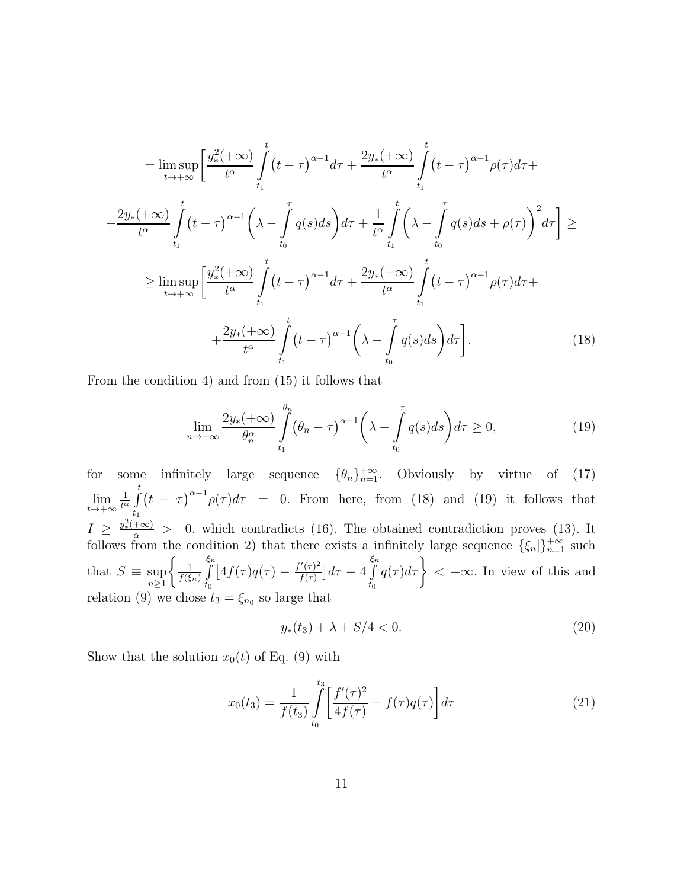$$
= \lim_{t \to +\infty} \lim_{t \to +\infty} \left[ \frac{y_{*}^{2}(\pm \infty)}{t^{\alpha}} \int_{t_{1}}^{t} (t-\tau)^{\alpha-1} d\tau + \frac{2y_{*}(\pm \infty)}{t^{\alpha}} \int_{t_{1}}^{t} (t-\tau)^{\alpha-1} \rho(\tau) d\tau + \frac{2y_{*}(\pm \infty)}{t^{\alpha}} \int_{t_{1}}^{t} (t-\tau)^{\alpha-1} \left( \lambda - \int_{t_{0}}^{\tau} q(s) ds \right) d\tau + \frac{1}{t^{\alpha}} \int_{t_{1}}^{t} \left( \lambda - \int_{t_{0}}^{\tau} q(s) ds + \rho(\tau) \right)^{2} d\tau \right] \ge
$$
  

$$
\geq \lim_{t \to +\infty} \lim_{t \to +\infty} \left[ \frac{y_{*}^{2}(\pm \infty)}{t^{\alpha}} \int_{t_{1}}^{t} (t-\tau)^{\alpha-1} d\tau + \frac{2y_{*}(\pm \infty)}{t^{\alpha}} \int_{t_{1}}^{t} (t-\tau)^{\alpha-1} \rho(\tau) d\tau + \frac{2y_{*}(\pm \infty)}{t^{\alpha}} \int_{t_{1}}^{t} (t-\tau)^{\alpha-1} \left( \lambda - \int_{t_{0}}^{\tau} q(s) ds \right) d\tau \right].
$$
 (18)

From the condition 4) and from (15) it follows that

$$
\lim_{n \to +\infty} \frac{2y_*(+\infty)}{\theta_n^{\alpha}} \int_{t_1}^{\theta_n} (\theta_n - \tau)^{\alpha - 1} \left(\lambda - \int_{t_0}^{\tau} q(s)ds\right) d\tau \ge 0,
$$
\n(19)

for some infinitely large sequence  $\{\theta_n\}_{n=1}^{+\infty}$ . Obviously by virtue of (17) lim  $t\rightarrow+\infty$ 1  $\frac{1}{t^{\alpha}}\int_{0}^{t}$  $t_1$  $(t - \tau)^{\alpha-1} \rho(\tau) d\tau = 0$ . From here, from (18) and (19) it follows that  $I \geq \frac{y^2 + \infty}{\alpha} > 0$ , which contradicts (16). The obtained contradiction proves (13). It follows from the condition 2) that there exists a infinitely large sequence  $\{\xi_n\}_{n=1}^{+\infty}$  such that  $S \equiv \sup_{n \geq 1}$  $\int_{-1}$  $\frac{1}{f(\xi_n)}\int\limits_0^{\xi_n}$  $t_0$  $\int [4f(\tau)q(\tau) - \frac{f'(\tau)^2}{f(\tau)}]$  $\frac{f'(\tau)^2}{f(\tau)}$ ] $d\tau - 4 \int$  $t_0$  $q(\tau)d\tau\Big\} < +\infty$ . In view of this and relation (9) we chose  $t_3 = \xi_{n_0}$  so large that

$$
y_*(t_3) + \lambda + S/4 < 0. \tag{20}
$$

Show that the solution  $x_0(t)$  of Eq. (9) with

$$
x_0(t_3) = \frac{1}{f(t_3)} \int_{t_0}^{t_3} \left[ \frac{f'(\tau)^2}{4f(\tau)} - f(\tau)q(\tau) \right] d\tau \tag{21}
$$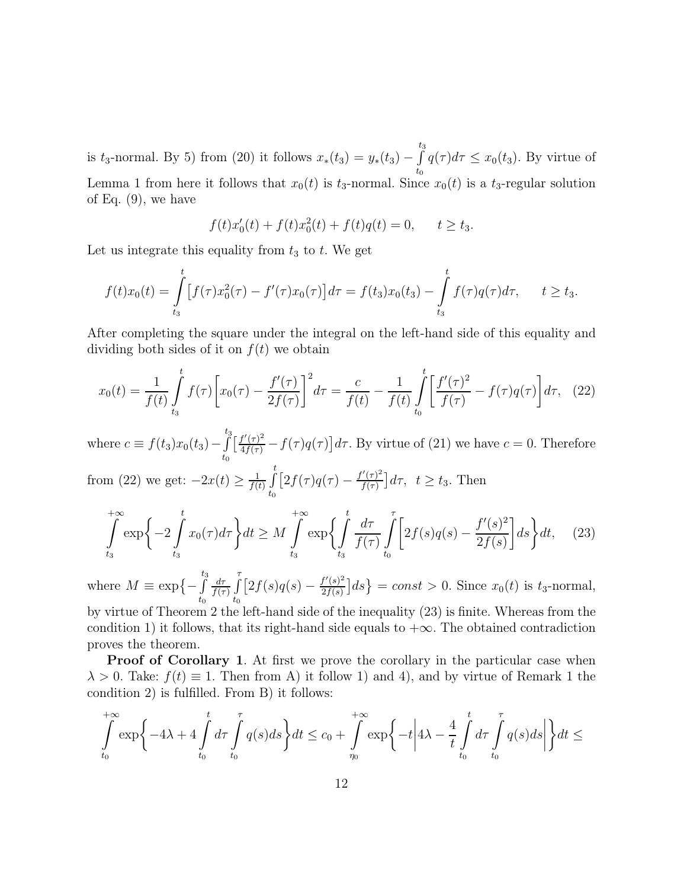is  $t_3$ -normal. By 5) from (20) it follows  $x_*(t_3) = y_*(t_3) - \int_0^{t_3}$  $\int_{t_0} q(\tau) d\tau \leq x_0(t_3)$ . By virtue of Lemma 1 from here it follows that  $x_0(t)$  is  $t_3$ -normal. Since  $x_0(t)$  is a  $t_3$ -regular solution of Eq.  $(9)$ , we have

$$
f(t)x'_0(t) + f(t)x_0^2(t) + f(t)q(t) = 0, \quad t \ge t_3.
$$

Let us integrate this equality from  $t_3$  to  $t$ . We get

$$
f(t)x_0(t) = \int_{t_3}^t \left[ f(\tau)x_0^2(\tau) - f'(\tau)x_0(\tau) \right] d\tau = f(t_3)x_0(t_3) - \int_{t_3}^t f(\tau)q(\tau) d\tau, \qquad t \ge t_3.
$$

After completing the square under the integral on the left-hand side of this equality and dividing both sides of it on  $f(t)$  we obtain

$$
x_0(t) = \frac{1}{f(t)} \int_{t_3}^t f(\tau) \left[ x_0(\tau) - \frac{f'(\tau)}{2f(\tau)} \right]^2 d\tau = \frac{c}{f(t)} - \frac{1}{f(t)} \int_{t_0}^t \left[ \frac{f'(\tau)^2}{f(\tau)} - f(\tau)q(\tau) \right] d\tau, \tag{22}
$$

where  $c \equiv f(t_3)x_0(t_3) - \int_{0}^{t_3}$  $t_0$  $\left[\frac{f'(\tau)^2}{4f(\tau)} - f(\tau)q(\tau)\right]d\tau$ . By virtue of (21) we have  $c = 0$ . Therefore from (22) we get:  $-2x(t) \ge \frac{1}{f(t)}$  $\frac{1}{f(t)}\int\limits_0^t$  $t_{0}$  $[2f(\tau)q(\tau)-\tfrac{f'(\tau)^2}{f(\tau)}$  $\frac{f'(\tau)^2}{f(\tau)}$   $d\tau$ ,  $t \ge t_3$ . Then

$$
\int_{t_3}^{+\infty} \exp\left\{-2\int_{t_3}^{t} x_0(\tau)d\tau\right\} dt \ge M \int_{t_3}^{+\infty} \exp\left\{\int_{t_3}^{t} \frac{d\tau}{f(\tau)} \int_{t_0}^{\tau} \left[2f(s)q(s) - \frac{f'(s)^2}{2f(s)}\right] ds\right\} dt,\tag{23}
$$

where  $M \equiv \exp\{-\int^{t_3}$  $t_0$  $d\tau$  $\frac{d\tau}{f(\tau)}\int$  $t_0$  $[2f(s)q(s) - \frac{f'(s)^2}{2f(s)}]$  $\left\{\frac{f'(s)^2}{2f(s)}\right\}$  = const > 0. Since  $x_0(t)$  is  $t_3$ -normal, by virtue of Theorem 2 the left-hand side of the inequality (23) is finite. Whereas from the

condition 1) it follows, that its right-hand side equals to  $+\infty$ . The obtained contradiction proves the theorem.

Proof of Corollary 1. At first we prove the corollary in the particular case when  $\lambda > 0$ . Take:  $f(t) \equiv 1$ . Then from A) it follow 1) and 4), and by virtue of Remark 1 the condition 2) is fulfilled. From В) it follows:

$$
\int_{t_0}^{+\infty} \exp\left\{-4\lambda + 4\int_{t_0}^t d\tau \int_{t_0}^{\tau} q(s)ds\right\} dt \le c_0 + \int_{\eta_0}^{+\infty} \exp\left\{-t\left|4\lambda - \frac{4}{t} \int_{t_0}^t d\tau \int_{t_0}^{\tau} q(s)ds\right|\right\} dt \le
$$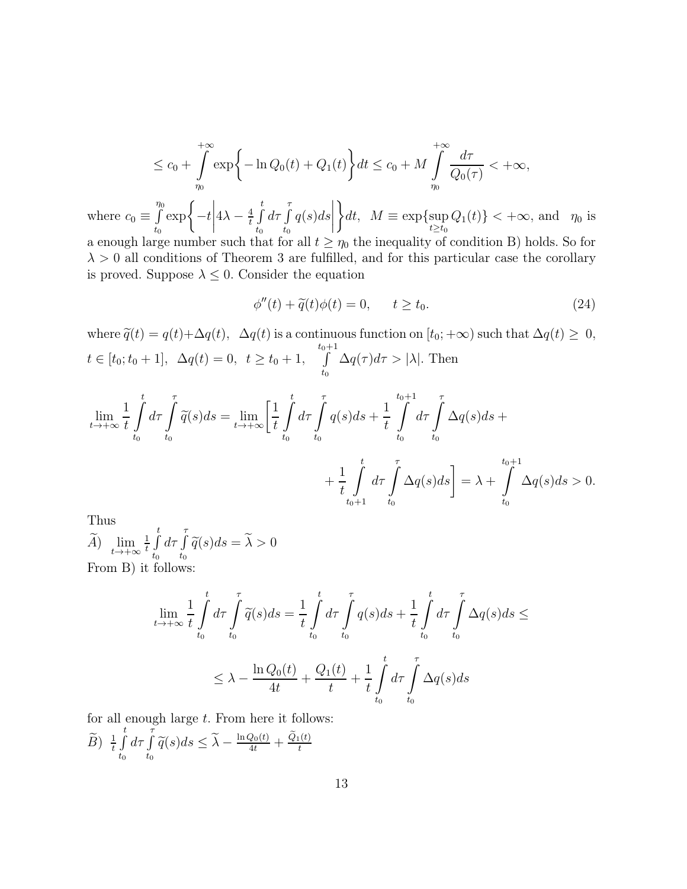$$
\leq c_0 + \int_{r_0}^{+\infty} \exp\bigg\{-\ln Q_0(t) + Q_1(t)\bigg\} dt \leq c_0 + M \int_{r_0}^{+\infty} \frac{d\tau}{Q_0(\tau)} < +\infty,
$$

where  $c_0 \equiv \int\limits_{0}^{\eta_0}$  $t_{0}$  $\exp\Biggl\{-t\Biggr\}$  $4\lambda - \frac{4}{t}$  $\frac{4}{t}$   $\int_0^t$  $t_0$  $d\tau \int$  $t_0$  $q(s)ds$   $\mathcal{L}$ dt,  $M \equiv \exp\{\sup_{t \ge t_0} Q_1(t)\} < +\infty$ , and  $\eta_0$  is a enough large number such that for all  $t \geq \eta_0$  the inequality of condition B) holds. So for  $\lambda > 0$  all conditions of Theorem 3 are fulfilled, and for this particular case the corollary is proved. Suppose  $\lambda \leq 0$ . Consider the equation

$$
\phi''(t) + \tilde{q}(t)\phi(t) = 0, \qquad t \ge t_0. \tag{24}
$$

where  $\tilde{q}(t) = q(t) + \Delta q(t)$ ,  $\Delta q(t)$  is a continuous function on  $[t_0; +\infty)$  such that  $\Delta q(t) \geq 0$ ,  $t \in [t_0; t_0 + 1], \ \ \Delta q(t) = 0, \ \ t \geq t_0 + 1, \quad \int_0^{t_0 + 1}$  $\int_{t_0}^{\cdot} \Delta q(\tau) d\tau > |\lambda|.$  Then

$$
\lim_{t \to +\infty} \frac{1}{t} \int_{t_0}^t d\tau \int_{t_0}^{\tau} \widetilde{q}(s) ds = \lim_{t \to +\infty} \left[ \frac{1}{t} \int_{t_0}^t d\tau \int_{t_0}^{\tau} q(s) ds + \frac{1}{t} \int_{t_0}^{t_0 + 1} d\tau \int_{t_0}^{\tau} \Delta q(s) ds + \frac{1}{t} \int_{t_0 + 1}^t d\tau \int_{t_0}^{\tau} \Delta q(s) ds \right] = \lambda + \int_{t_0}^{t_0 + 1} \Delta q(s) ds > 0.
$$

Thus

 $\widetilde{A}$ )  $\lim_{t\to+\infty}\frac{1}{t}$  $\frac{1}{t}$   $\int_0^t$  $t_0$  $d\tau \int$  $\int\limits_{t_{0}}\widetilde{q}(s)ds=\lambda>0$ From В) it follows:

$$
\lim_{t \to +\infty} \frac{1}{t} \int_{t_0}^t d\tau \int_{t_0}^{\tau} \widetilde{q}(s) ds = \frac{1}{t} \int_{t_0}^t d\tau \int_{t_0}^{\tau} q(s) ds + \frac{1}{t} \int_{t_0}^t d\tau \int_{t_0}^{\tau} \Delta q(s) ds \le
$$
\n
$$
\leq \lambda - \frac{\ln Q_0(t)}{4t} + \frac{Q_1(t)}{t} + \frac{1}{t} \int_{t_0}^t d\tau \int_{t_0}^{\tau} \Delta q(s) ds
$$

for all enough large t. From here it follows:

$$
\widetilde{B}) \frac{1}{t} \int_{t_0}^t d\tau \int_{t_0}^{\tau} \widetilde{q}(s) ds \leq \widetilde{\lambda} - \frac{\ln Q_0(t)}{4t} + \frac{\widetilde{Q}_1(t)}{t}
$$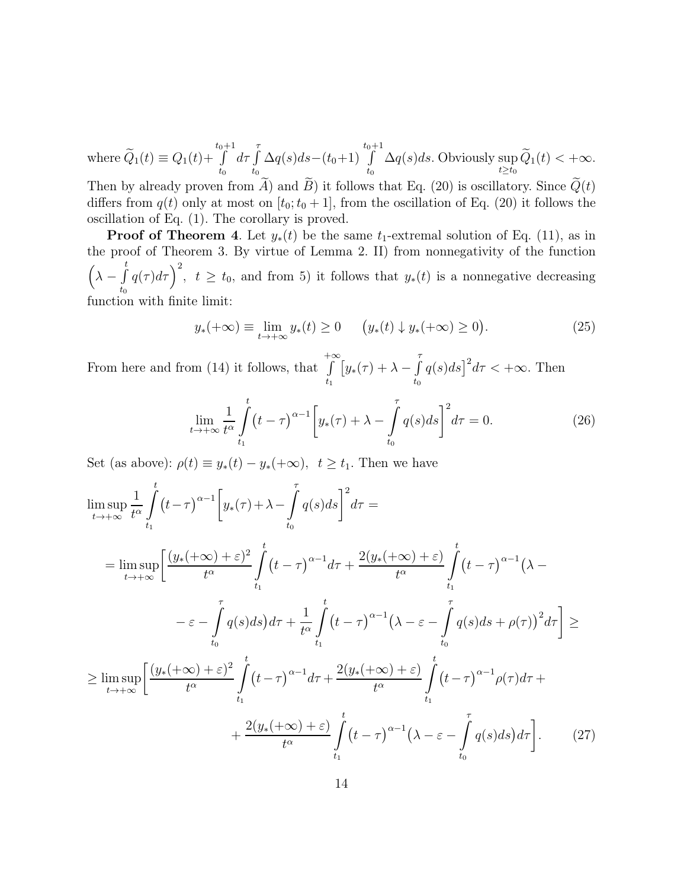where 
$$
\widetilde{Q}_1(t) \equiv Q_1(t) + \int_{t_0}^{t_0+1} d\tau \int_{t_0}^{\tau} \Delta q(s) ds - (t_0+1) \int_{t_0}^{t_0+1} \Delta q(s) ds.
$$
 Obviously  $\sup_{t \ge t_0} \widetilde{Q}_1(t) < +\infty$ .

Then by already proven from A) and B) it follows that Eq. (20) is oscillatory. Since  $Q(t)$ differs from  $q(t)$  only at most on  $[t_0; t_0 + 1]$ , from the oscillation of Eq. (20) it follows the oscillation of Eq. (1). The corollary is proved.

**Proof of Theorem 4.** Let  $y_*(t)$  be the same  $t_1$ -extremal solution of Eq. (11), as in the proof of Theorem 3. By virtue of Lemma 2. II) from nonnegativity of the function  $\left(\lambda-\int\limits_{0}^{t}% 1}\right) ^{1-\lambda}\left( \lambda-\int\limits_{0}^{t}% 1}\right) ^{1-\lambda}\left( \lambda-\int\limits_{0}^{t}% 1}\right) ^{1-\lambda}\left( \lambda-\int\limits_{0}^{t}% 1}\right) ^{1-\lambda}\left( \lambda-\int\limits_{0}^{t}% 1}\right) ^{1-\lambda}\left( \lambda-\int\limits_{0}^{t}% 1}\right) ^{1-\lambda}\left( \lambda-\int\limits_{0}^{t}% 1}\right) ^{1-\lambda}\left( \lambda-\int\limits_{0}^{t}% 1}\right) ^{1-\lambda}\left( \lambda-\int\limits_{0}^{t}% 1}\right) ^$  $t_0$  $q(\tau)d\tau$ )<sup>2</sup>,  $t \ge t_0$ , and from 5) it follows that  $y_*(t)$  is a nonnegative decreasing function with finite limit:

$$
y_*(+\infty) \equiv \lim_{t \to +\infty} y_*(t) \ge 0 \qquad (y_*(t) \downarrow y_*(+\infty) \ge 0). \tag{25}
$$

From here and from (14) it follows, that  $+∞$  $t_1$  $\left[y_*(\tau)+\lambda-\int\limits_0^{\tau}$  $t_{0}$  $q(s)ds$ <sup>2</sup> $d\tau < +\infty$ . Then

$$
\lim_{t \to +\infty} \frac{1}{t^{\alpha}} \int_{t_1}^t (t - \tau)^{\alpha - 1} \left[ y_*(\tau) + \lambda - \int_{t_0}^{\tau} q(s) ds \right]^2 d\tau = 0.
$$
 (26)

Set (as above):  $\rho(t) \equiv y_*(t) - y_*(+\infty)$ ,  $t \ge t_1$ . Then we have

$$
\limsup_{t \to +\infty} \frac{1}{t^{\alpha}} \int_{t_1}^{t} (t-\tau)^{\alpha-1} \left[ y_*(\tau) + \lambda - \int_{t_0}^{\tau} q(s) ds \right]^2 d\tau =
$$
\n
$$
= \limsup_{t \to +\infty} \left[ \frac{(y_*(+\infty) + \varepsilon)^2}{t^{\alpha}} \int_{t_1}^{t} (t-\tau)^{\alpha-1} d\tau + \frac{2(y_*(+\infty) + \varepsilon)}{t^{\alpha}} \int_{t_1}^{t} (t-\tau)^{\alpha-1} (\lambda - \varepsilon - \int_{t_0}^{\tau} q(s) ds) d\tau + \frac{1}{t^{\alpha}} \int_{t_1}^{t} (t-\tau)^{\alpha-1} (\lambda - \varepsilon - \int_{t_0}^{\tau} q(s) ds + \rho(\tau))^2 d\tau \right] \ge
$$
\n
$$
\geq \limsup_{t \to +\infty} \left[ \frac{(y_*(+\infty) + \varepsilon)^2}{t^{\alpha}} \int_{t_1}^{t} (t-\tau)^{\alpha-1} d\tau + \frac{2(y_*(+\infty) + \varepsilon)}{t^{\alpha}} \int_{t_1}^{t} (t-\tau)^{\alpha-1} \rho(\tau) d\tau + \frac{2(y_*(+\infty) + \varepsilon)}{t^{\alpha}} \int_{t_1}^{t} (t-\tau)^{\alpha-1} (\lambda - \varepsilon - \int_{t_0}^{\tau} q(s) ds) d\tau \right]. \tag{27}
$$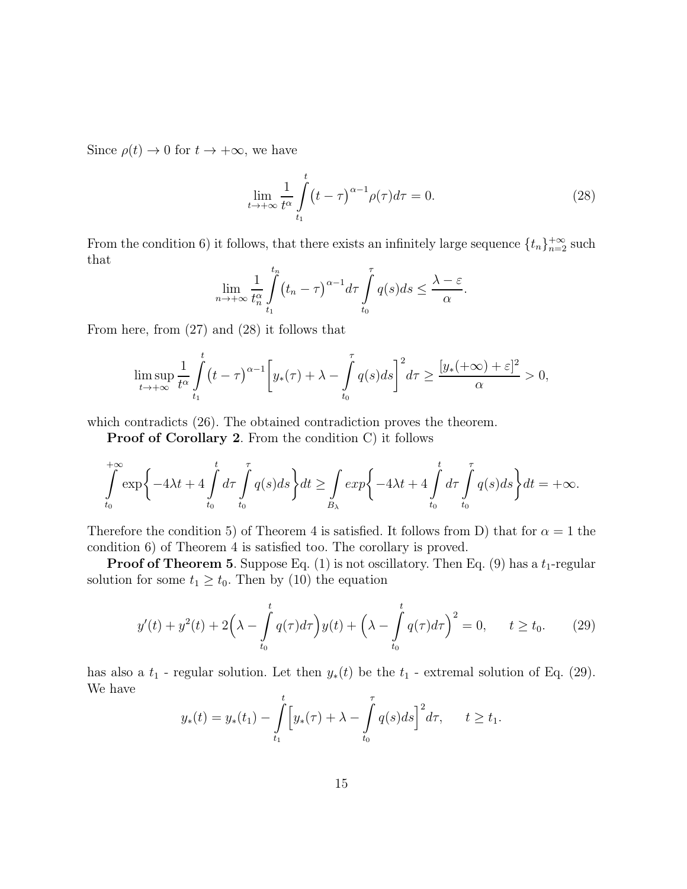Since  $\rho(t) \to 0$  for  $t \to +\infty$ , we have

$$
\lim_{t \to +\infty} \frac{1}{t^{\alpha}} \int_{t_1}^t (t - \tau)^{\alpha - 1} \rho(\tau) d\tau = 0.
$$
 (28)

From the condition 6) it follows, that there exists an infinitely large sequence  $\{t_n\}_{n=2}^{+\infty}$  such that

$$
\lim_{n \to +\infty} \frac{1}{t_n^{\alpha}} \int_{t_1}^{t_n} (t_n - \tau)^{\alpha - 1} d\tau \int_{t_0}^{\tau} q(s) ds \le \frac{\lambda - \varepsilon}{\alpha}.
$$

From here, from (27) and (28) it follows that

$$
\limsup_{t \to +\infty} \frac{1}{t^{\alpha}} \int_{t_1}^t (t - \tau)^{\alpha - 1} \left[ y_*(\tau) + \lambda - \int_{t_0}^{\tau} q(s) ds \right]^2 d\tau \ge \frac{[y_*(+\infty) + \varepsilon]^2}{\alpha} > 0,
$$

which contradicts  $(26)$ . The obtained contradiction proves the theorem.

Proof of Corollary 2. From the condition C) it follows

$$
\int_{t_0}^{+\infty} \exp\left\{-4\lambda t + 4\int_{t_0}^t d\tau \int_{t_0}^{\tau} q(s)ds\right\} dt \ge \int_{B_{\lambda}} \exp\left\{-4\lambda t + 4\int_{t_0}^t d\tau \int_{t_0}^{\tau} q(s)ds\right\} dt = +\infty.
$$

Therefore the condition 5) of Theorem 4 is satisfied. It follows from D) that for  $\alpha = 1$  the condition 6) of Theorem 4 is satisfied too. The corollary is proved.

**Proof of Theorem 5.** Suppose Eq. (1) is not oscillatory. Then Eq. (9) has a  $t_1$ -regular solution for some  $t_1 \geq t_0$ . Then by (10) the equation

$$
y'(t) + y^{2}(t) + 2\left(\lambda - \int_{t_{0}}^{t} q(\tau)d\tau\right)y(t) + \left(\lambda - \int_{t_{0}}^{t} q(\tau)d\tau\right)^{2} = 0, \quad t \ge t_{0}.
$$
 (29)

has also a  $t_1$  - regular solution. Let then  $y_*(t)$  be the  $t_1$  - extremal solution of Eq. (29). We have

$$
y_*(t) = y_*(t_1) - \int_{t_1}^t \left[ y_*(\tau) + \lambda - \int_{t_0}^{\tau} q(s) ds \right]^2 d\tau, \quad t \ge t_1.
$$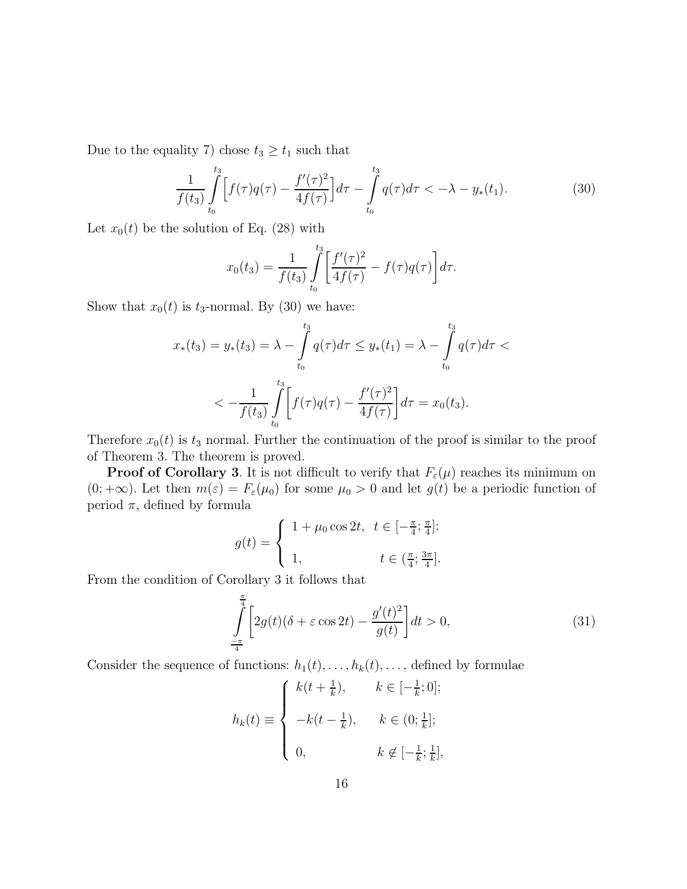Due to the equality 7) chose  $t_3 \ge t_1$  such that

$$
\frac{1}{f(t_3)}\int_{t_0}^{t_3} \left[ f(\tau)q(\tau) - \frac{f'(\tau)^2}{4f(\tau)} \right] d\tau - \int_{t_0}^{t_3} q(\tau) d\tau < -\lambda - y_*(t_1). \tag{30}
$$

Let  $x_0(t)$  be the solution of Eq. (28) with

$$
x_0(t_3) = \frac{1}{f(t_3)} \int_{t_0}^{t_3} \left[ \frac{f'(\tau)^2}{4f(\tau)} - f(\tau)q(\tau) \right] d\tau.
$$

Show that  $x_0(t)$  is  $t_3$ -normal. By (30) we have:

$$
x_*(t_3) = y_*(t_3) = \lambda - \int_{t_0}^{t_3} q(\tau) d\tau \le y_*(t_1) = \lambda - \int_{t_0}^{t_3} q(\tau) d\tau < -\frac{1}{f(t_3)} \int_{t_0}^{t_3} \left[ f(\tau)q(\tau) - \frac{f'(\tau)^2}{4f(\tau)} \right] d\tau = x_0(t_3).
$$

Therefore  $x_0(t)$  is  $t_3$  normal. Further the continuation of the proof is similar to the proof of Theorem 3. The theorem is proved.

**Proof of Corollary 3.** It is not difficult to verify that  $F_{\varepsilon}(\mu)$  reaches its minimum on  $(0; +\infty)$ . Let then  $m(\varepsilon) = F_{\varepsilon}(\mu_0)$  for some  $\mu_0 > 0$  and let  $g(t)$  be a periodic function of period  $\pi$ , defined by formula

$$
g(t) = \begin{cases} 1 + \mu_0 \cos 2t, & t \in [-\frac{\pi}{4}; \frac{\pi}{4}]; \\ 1, & t \in (\frac{\pi}{4}; \frac{3\pi}{4}]. \end{cases}
$$

From the condition of Corollary 3 it follows that

$$
\int_{-\frac{\pi}{4}}^{\frac{\pi}{4}} \left[ 2g(t)(\delta + \varepsilon \cos 2t) - \frac{g'(t)^2}{g(t)} \right] dt > 0,
$$
\n(31)

Consider the sequence of functions:  $h_1(t), \ldots, h_k(t), \ldots$ , defined by formulae

$$
h_k(t) \equiv \begin{cases} k(t + \frac{1}{k}), & k \in [-\frac{1}{k}; 0]; \\ -k(t - \frac{1}{k}), & k \in (0; \frac{1}{k}]; \\ 0, & k \notin [-\frac{1}{k}; \frac{1}{k}], \end{cases}
$$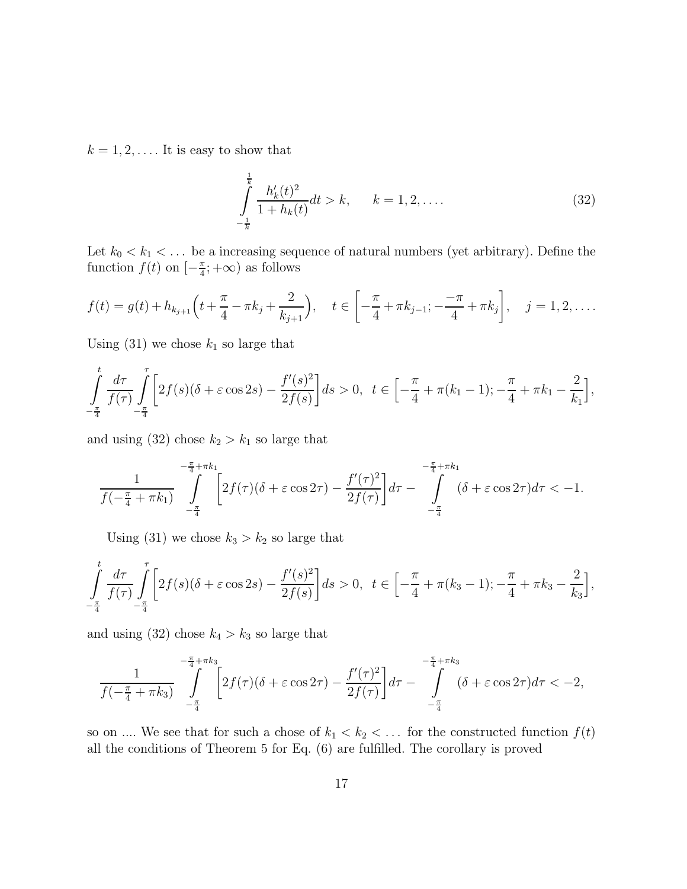$k = 1, 2, \ldots$ . It is easy to show that

$$
\int_{-\frac{1}{k}}^{\frac{1}{k}} \frac{h'_k(t)^2}{1+h_k(t)} dt > k, \qquad k = 1, 2, ....
$$
\n(32)

Let  $k_0 < k_1 < \ldots$  be a increasing sequence of natural numbers (yet arbitrary). Define the function  $f(t)$  on  $\left[-\frac{\pi}{4}\right]$  $\frac{\pi}{4}; +\infty$  as follows

$$
f(t) = g(t) + h_{k_{j+1}}\left(t + \frac{\pi}{4} - \pi k_j + \frac{2}{k_{j+1}}\right), \quad t \in \left[-\frac{\pi}{4} + \pi k_{j-1}; -\frac{-\pi}{4} + \pi k_j\right], \quad j = 1, 2, \dots
$$

Using (31) we chose  $k_1$  so large that

$$
\int_{-\frac{\pi}{4}}^{t} \frac{d\tau}{f(\tau)} \int_{-\frac{\pi}{4}}^{\tau} \left[ 2f(s)(\delta + \varepsilon \cos 2s) - \frac{f'(s)^2}{2f(s)} \right] ds > 0, \quad t \in \left[ -\frac{\pi}{4} + \pi(k_1 - 1); -\frac{\pi}{4} + \pi k_1 - \frac{2}{k_1} \right],
$$

and using (32) chose  $k_2 > k_1$  so large that

$$
\frac{1}{f(-\frac{\pi}{4} + \pi k_1)} \int_{-\frac{\pi}{4}}^{-\frac{\pi}{4} + \pi k_1} \left[ 2f(\tau)(\delta + \varepsilon \cos 2\tau) - \frac{f'(\tau)^2}{2f(\tau)} \right] d\tau - \int_{-\frac{\pi}{4}}^{-\frac{\pi}{4} + \pi k_1} (\delta + \varepsilon \cos 2\tau) d\tau < -1.
$$

Using (31) we chose  $k_3 > k_2$  so large that

$$
\int_{-\frac{\pi}{4}}^{t} \frac{d\tau}{f(\tau)} \int_{-\frac{\pi}{4}}^{\tau} \left[ 2f(s)(\delta + \varepsilon \cos 2s) - \frac{f'(s)^2}{2f(s)} \right] ds > 0, \quad t \in \left[ -\frac{\pi}{4} + \pi(k_3 - 1); -\frac{\pi}{4} + \pi k_3 - \frac{2}{k_3} \right],
$$

and using (32) chose  $k_4 > k_3$  so large that

$$
\frac{1}{f(-\frac{\pi}{4} + \pi k_3)} \int_{-\frac{\pi}{4}}^{-\frac{\pi}{4} + \pi k_3} \left[ 2f(\tau)(\delta + \varepsilon \cos 2\tau) - \frac{f'(\tau)^2}{2f(\tau)} \right] d\tau - \int_{-\frac{\pi}{4}}^{-\frac{\pi}{4} + \pi k_3} (\delta + \varepsilon \cos 2\tau) d\tau < -2,
$$

so on .... We see that for such a chose of  $k_1 < k_2 < \dots$  for the constructed function  $f(t)$ all the conditions of Theorem 5 for Eq. (6) are fulfilled. The corollary is proved